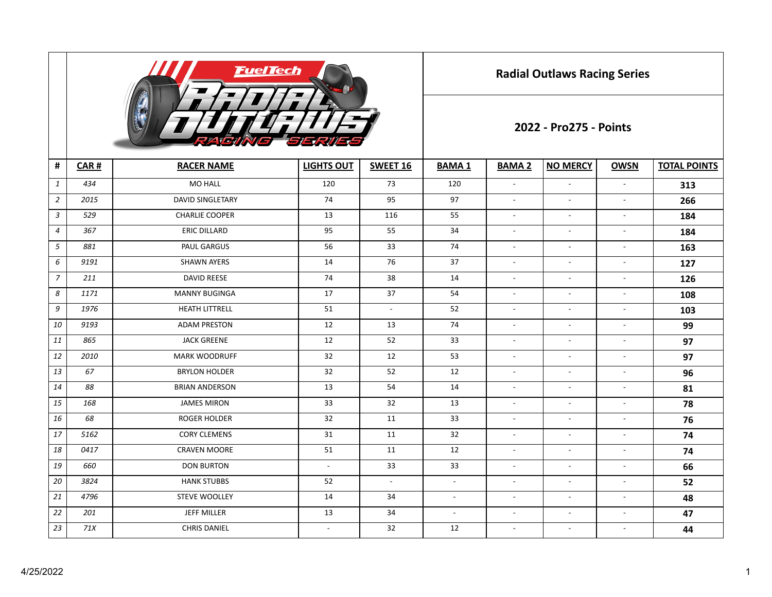

**Radial Outlaws Racing Series**

## **2022 - Pro275 - Points**

| #              | CAR# | <b>RACER NAME</b>       | <b>LIGHTS OUT</b>        | SWEET 16                 | <b>BAMA1</b>   | <b>BAMA 2</b>            | <b>NO MERCY</b>          | <b>OWSN</b>              | <b>TOTAL POINTS</b> |
|----------------|------|-------------------------|--------------------------|--------------------------|----------------|--------------------------|--------------------------|--------------------------|---------------------|
| $\mathbf{1}$   | 434  | <b>MO HALL</b>          | 120                      | 73                       | 120            | $\overline{a}$           | $\blacksquare$           | $\overline{\phantom{a}}$ | 313                 |
| $\overline{2}$ | 2015 | <b>DAVID SINGLETARY</b> | 74                       | 95                       | 97             | $\overline{\phantom{a}}$ | $\overline{\phantom{a}}$ | $\overline{\phantom{a}}$ | 266                 |
| $\mathfrak{Z}$ | 529  | <b>CHARLIE COOPER</b>   | 13                       | 116                      | 55             | $\overline{\phantom{a}}$ | $\overline{\phantom{a}}$ | $\overline{\phantom{a}}$ | 184                 |
| $\overline{4}$ | 367  | <b>ERIC DILLARD</b>     | 95                       | 55                       | 34             | $\overline{\phantom{a}}$ | $\overline{\phantom{a}}$ | $\overline{\phantom{a}}$ | 184                 |
| $\mathfrak{s}$ | 881  | PAUL GARGUS             | 56                       | 33                       | 74             | $\overline{\phantom{a}}$ | $\blacksquare$           | $\overline{\phantom{a}}$ | 163                 |
| 6              | 9191 | <b>SHAWN AYERS</b>      | 14                       | 76                       | 37             | $\sim$                   | $\overline{\phantom{a}}$ | $\overline{\phantom{a}}$ | 127                 |
| $\overline{7}$ | 211  | <b>DAVID REESE</b>      | 74                       | 38                       | 14             | $\sim$                   | $\blacksquare$           | $\overline{\phantom{a}}$ | 126                 |
| 8              | 1171 | <b>MANNY BUGINGA</b>    | 17                       | 37                       | 54             | $\overline{\phantom{a}}$ | $\overline{\phantom{a}}$ | $\overline{\phantom{a}}$ | 108                 |
| 9              | 1976 | <b>HEATH LITTRELL</b>   | 51                       | $\overline{\phantom{a}}$ | 52             | $\sim$                   | $\overline{\phantom{a}}$ | $\overline{\phantom{a}}$ | 103                 |
| 10             | 9193 | <b>ADAM PRESTON</b>     | 12                       | 13                       | 74             | $\overline{\phantom{a}}$ | $\overline{\phantom{a}}$ | $\overline{\phantom{a}}$ | 99                  |
| 11             | 865  | <b>JACK GREENE</b>      | 12                       | 52                       | 33             | $\overline{\phantom{a}}$ | $\overline{\phantom{a}}$ | $\overline{\phantom{a}}$ | 97                  |
| 12             | 2010 | <b>MARK WOODRUFF</b>    | 32                       | 12                       | 53             | $\overline{\phantom{a}}$ | $\sim$                   | $\overline{\phantom{a}}$ | 97                  |
| 13             | 67   | <b>BRYLON HOLDER</b>    | 32                       | 52                       | 12             | $\overline{\phantom{a}}$ | $\overline{\phantom{a}}$ | $\overline{\phantom{a}}$ | 96                  |
| 14             | 88   | <b>BRIAN ANDERSON</b>   | 13                       | 54                       | 14             | $\overline{\phantom{a}}$ | $\overline{\phantom{a}}$ | $\overline{\phantom{a}}$ | 81                  |
| 15             | 168  | <b>JAMES MIRON</b>      | 33                       | 32                       | 13             | $\sim$                   | $\blacksquare$           | $\blacksquare$           | 78                  |
| 16             | 68   | <b>ROGER HOLDER</b>     | 32                       | 11                       | 33             | $\overline{\phantom{a}}$ | $\overline{\phantom{a}}$ | $\overline{\phantom{a}}$ | 76                  |
| 17             | 5162 | <b>CORY CLEMENS</b>     | 31                       | 11                       | 32             | $\sim$                   | $\overline{\phantom{a}}$ | $\sim$                   | 74                  |
| 18             | 0417 | <b>CRAVEN MOORE</b>     | 51                       | 11                       | 12             | $\overline{\phantom{a}}$ | $\overline{\phantom{a}}$ | $\overline{\phantom{a}}$ | 74                  |
| 19             | 660  | <b>DON BURTON</b>       | $\sim$                   | 33                       | 33             | $\sim$                   | $\blacksquare$           | $\blacksquare$           | 66                  |
| 20             | 3824 | <b>HANK STUBBS</b>      | 52                       | $\overline{\phantom{a}}$ | $\blacksquare$ | $\overline{\phantom{a}}$ | $\overline{\phantom{a}}$ | $\overline{\phantom{a}}$ | 52                  |
| 21             | 4796 | <b>STEVE WOOLLEY</b>    | 14                       | 34                       | $\sim$         | $\overline{\phantom{a}}$ | $\blacksquare$           | $\overline{\phantom{a}}$ | 48                  |
| 22             | 201  | JEFF MILLER             | 13                       | 34                       | $\blacksquare$ | $\sim$                   | $\overline{\phantom{a}}$ | $\blacksquare$           | 47                  |
| 23             | 71X  | <b>CHRIS DANIEL</b>     | $\overline{\phantom{a}}$ | 32                       | 12             | $\overline{\phantom{a}}$ | $\overline{\phantom{a}}$ | $\overline{\phantom{a}}$ | 44                  |
|                |      |                         |                          |                          |                |                          |                          |                          |                     |